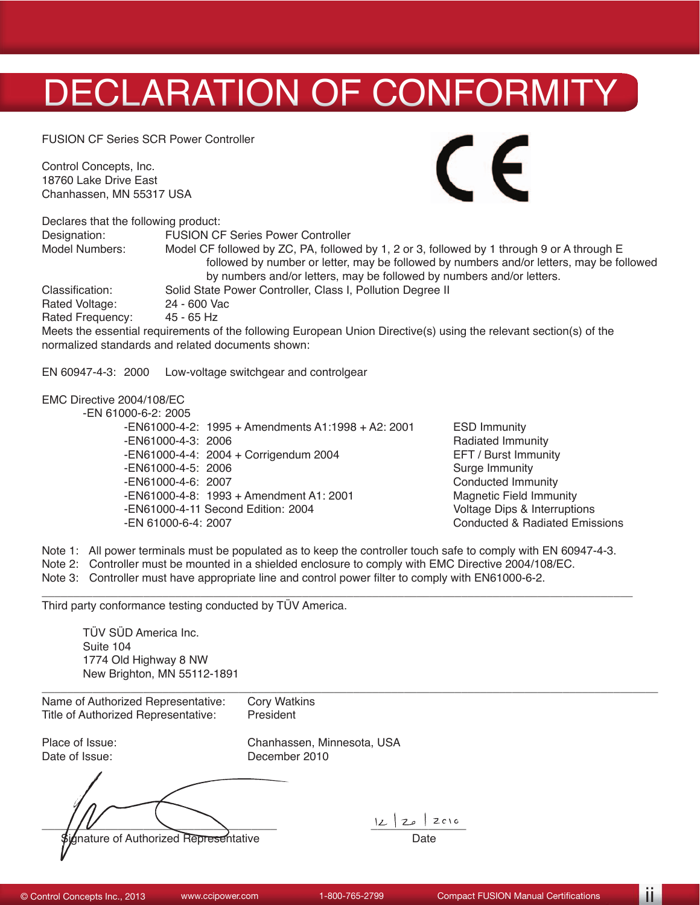## DECLARATION OF CONFORMITY

FUSION CF Series SCR Power Controller

Control Concepts, Inc. 18760 Lake Drive East Chanhassen, MN 55317 USA



Declares that the following product: Designation: FUSION CF Series Power Controller Model CF followed by ZC, PA, followed by 1, 2 or 3, followed by 1 through 9 or A through E followed by number or letter, may be followed by numbers and/or letters, may be followed by numbers and/or letters, may be followed by numbers and/or letters. Classification: Solid State Power Controller, Class I, Pollution Degree II<br>Rated Voltage: 24 - 600 Vac Rated Voltage: 24 - 600 Va<br>Rated Frequency: 45 - 65 Hz Rated Frequency: Meets the essential requirements of the following European Union Directive(s) using the relevant section(s) of the normalized standards and related documents shown:

EN 60947-4-3: 2000 Low-voltage switchgear and controlgear

## EMC Directive 2004/108/EC

-EN 61000-6-2: 2005

 -EN61000-4-2: 1995 + Amendments A1:1998 + A2: 2001 ESD Immunity -EN61000-4-3: 2006<br>
-EN61000-4-4: 2004 + Corrigendum 2004 **Radiated Immunity**<br>
EFT / Burst Immunity -EN61000-4-4: 2004 + Corrigendum 2004 <br>-EN61000-4-5: 2006 **EXECUS** Surge Immunity -EN61000-4-5: 2006<br>-EN61000-4-6: 2007 -EN61000-4-8: 1993 + Amendment A1: 2001 Magnetic Field Immunity<br>-EN61000-4-11 Second Edition: 2004 Magnetic Field Interruptions -EN61000-4-11 Second Edition: 2004<br>-EN 61000-6-4: 2007

Conducted Immunity<br>Magnetic Field Immunity Conducted & Radiated Emissions

Note 1: All power terminals must be populated as to keep the controller touch safe to comply with EN 60947-4-3.

\_\_\_\_\_\_\_\_\_\_\_\_\_\_\_\_\_\_\_\_\_\_\_\_\_\_\_\_\_\_\_\_\_\_\_\_\_\_\_\_\_\_\_\_\_\_\_\_\_\_\_\_\_\_\_\_\_\_\_\_\_\_\_\_\_\_\_\_\_\_\_\_\_\_\_\_\_\_\_\_\_\_\_\_\_\_\_\_\_\_\_\_\_

- Note 2: Controller must be mounted in a shielded enclosure to comply with EMC Directive 2004/108/EC.
- Note 3: Controller must have appropriate line and control power filter to comply with EN61000-6-2.

Third party conformance testing conducted by TÜV America.

TÜV SÜD America Inc. Suite 104 1774 Old Highway 8 NW New Brighton, MN 55112-1891

| Name of Authorized Representative:             | <b>Cory Watkins</b>        |
|------------------------------------------------|----------------------------|
| Title of Authorized Representative:            | President                  |
| Place of Issue:                                | Chanhassen, Minnesota, USA |
| Date of Issue:                                 | December 2010              |
| <b>\$ignature of Authorized Representative</b> | ZC1G<br>L<br>20<br>Date    |